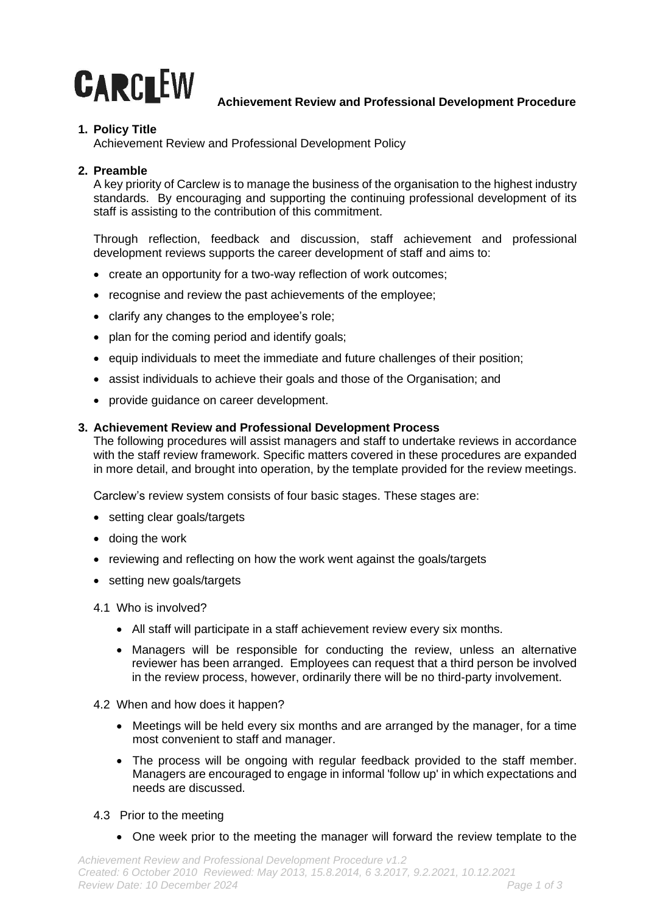

## **Achievement Review and Professional Development Procedure**

# **1. Policy Title**

Achievement Review and Professional Development Policy

# **2. Preamble**

A key priority of Carclew is to manage the business of the organisation to the highest industry standards. By encouraging and supporting the continuing professional development of its staff is assisting to the contribution of this commitment.

Through reflection, feedback and discussion, staff achievement and professional development reviews supports the career development of staff and aims to:

- create an opportunity for a two-way reflection of work outcomes;
- recognise and review the past achievements of the employee;
- clarify any changes to the employee's role;
- plan for the coming period and identify goals;
- equip individuals to meet the immediate and future challenges of their position;
- assist individuals to achieve their goals and those of the Organisation; and
- provide guidance on career development.

## **3. Achievement Review and Professional Development Process**

The following procedures will assist managers and staff to undertake reviews in accordance with the staff review framework. Specific matters covered in these procedures are expanded in more detail, and brought into operation, by the template provided for the review meetings.

Carclew's review system consists of four basic stages. These stages are:

- setting clear goals/targets
- doing the work
- reviewing and reflecting on how the work went against the goals/targets
- setting new goals/targets
- 4.1 Who is involved?
	- All staff will participate in a staff achievement review every six months.
	- Managers will be responsible for conducting the review, unless an alternative reviewer has been arranged. Employees can request that a third person be involved in the review process, however, ordinarily there will be no third-party involvement.
- 4.2 When and how does it happen?
	- Meetings will be held every six months and are arranged by the manager, for a time most convenient to staff and manager.
	- The process will be ongoing with regular feedback provided to the staff member. Managers are encouraged to engage in informal 'follow up' in which expectations and needs are discussed.
- 4.3 Prior to the meeting
	- One week prior to the meeting the manager will forward the review template to the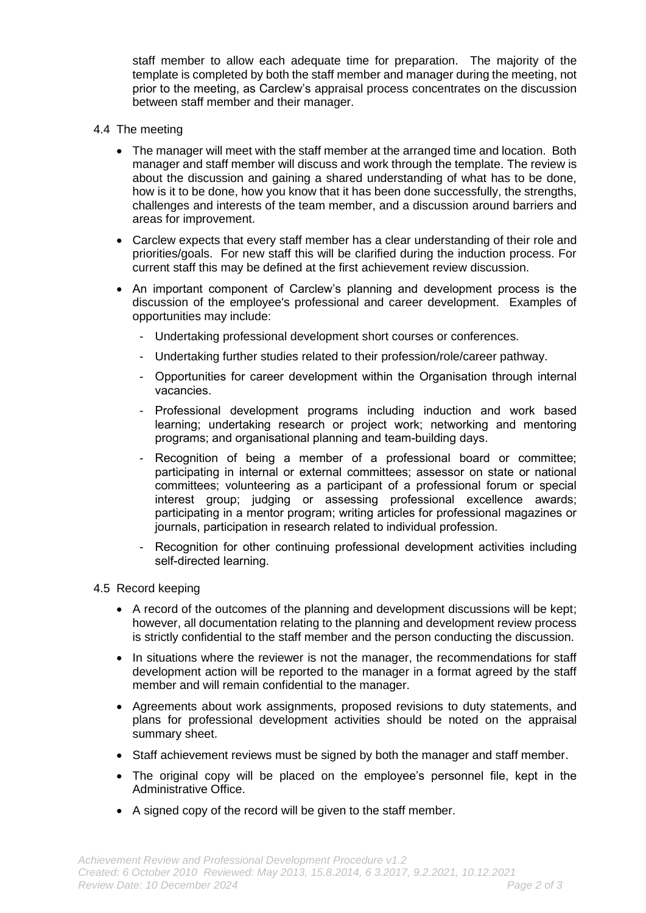staff member to allow each adequate time for preparation. The majority of the template is completed by both the staff member and manager during the meeting, not prior to the meeting, as Carclew's appraisal process concentrates on the discussion between staff member and their manager.

- 4.4 The meeting
	- The manager will meet with the staff member at the arranged time and location. Both manager and staff member will discuss and work through the template. The review is about the discussion and gaining a shared understanding of what has to be done, how is it to be done, how you know that it has been done successfully, the strengths, challenges and interests of the team member, and a discussion around barriers and areas for improvement.
	- Carclew expects that every staff member has a clear understanding of their role and priorities/goals. For new staff this will be clarified during the induction process. For current staff this may be defined at the first achievement review discussion.
	- An important component of Carclew's planning and development process is the discussion of the employee's professional and career development. Examples of opportunities may include:
		- Undertaking professional development short courses or conferences.
		- Undertaking further studies related to their profession/role/career pathway.
		- Opportunities for career development within the Organisation through internal vacancies.
		- Professional development programs including induction and work based learning; undertaking research or project work; networking and mentoring programs; and organisational planning and team-building days.
		- Recognition of being a member of a professional board or committee; participating in internal or external committees; assessor on state or national committees; volunteering as a participant of a professional forum or special interest group; judging or assessing professional excellence awards; participating in a mentor program; writing articles for professional magazines or journals, participation in research related to individual profession.
		- Recognition for other continuing professional development activities including self-directed learning.
- 4.5 Record keeping
	- A record of the outcomes of the planning and development discussions will be kept; however, all documentation relating to the planning and development review process is strictly confidential to the staff member and the person conducting the discussion.
	- In situations where the reviewer is not the manager, the recommendations for staff development action will be reported to the manager in a format agreed by the staff member and will remain confidential to the manager.
	- Agreements about work assignments, proposed revisions to duty statements, and plans for professional development activities should be noted on the appraisal summary sheet.
	- Staff achievement reviews must be signed by both the manager and staff member.
	- The original copy will be placed on the employee's personnel file, kept in the Administrative Office.
	- A signed copy of the record will be given to the staff member.